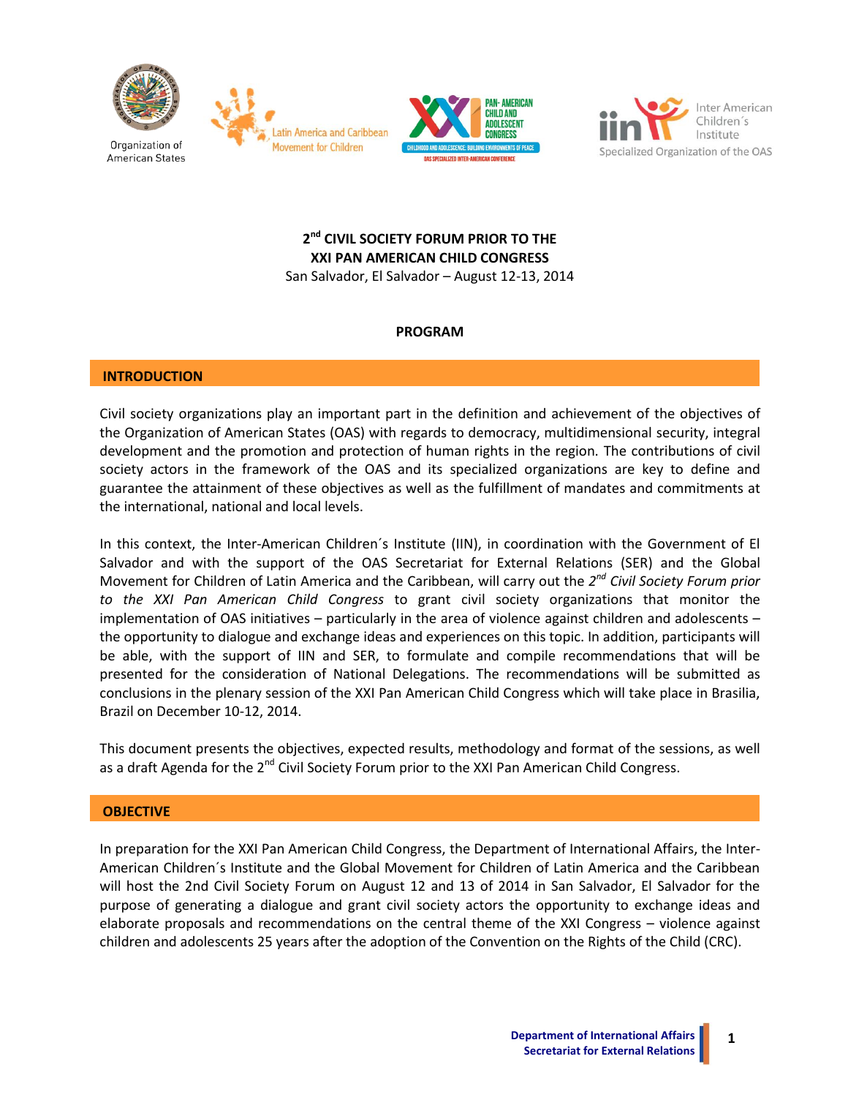







# **2 nd CIVIL SOCIETY FORUM PRIOR TO THE XXI PAN AMERICAN CHILD CONGRESS**

San Salvador, El Salvador – August 12-13, 2014

# **PROGRAM**

# **INTRODUCTION**

Civil society organizations play an important part in the definition and achievement of the objectives of the Organization of American States (OAS) with regards to democracy, multidimensional security, integral development and the promotion and protection of human rights in the region. The contributions of civil society actors in the framework of the OAS and its specialized organizations are key to define and guarantee the attainment of these objectives as well as the fulfillment of mandates and commitments at the international, national and local levels.

In this context, the Inter-American Children´s Institute (IIN), in coordination with the Government of El Salvador and with the support of the OAS Secretariat for External Relations (SER) and the Global Movement for Children of Latin America and the Caribbean, will carry out the *2 nd Civil Society Forum prior to the XXI Pan American Child Congress* to grant civil society organizations that monitor the implementation of OAS initiatives – particularly in the area of violence against children and adolescents – the opportunity to dialogue and exchange ideas and experiences on this topic. In addition, participants will be able, with the support of IIN and SER, to formulate and compile recommendations that will be presented for the consideration of National Delegations. The recommendations will be submitted as conclusions in the plenary session of the XXI Pan American Child Congress which will take place in Brasilia, Brazil on December 10-12, 2014.

This document presents the objectives, expected results, methodology and format of the sessions, as well as a draft Agenda for the  $2<sup>nd</sup>$  Civil Society Forum prior to the XXI Pan American Child Congress.

## **OBJECTIVE**

In preparation for the XXI Pan American Child Congress, the Department of International Affairs, the Inter-American Children´s Institute and the Global Movement for Children of Latin America and the Caribbean will host the 2nd Civil Society Forum on August 12 and 13 of 2014 in San Salvador, El Salvador for the purpose of generating a dialogue and grant civil society actors the opportunity to exchange ideas and elaborate proposals and recommendations on the central theme of the XXI Congress – violence against children and adolescents 25 years after the adoption of the Convention on the Rights of the Child (CRC).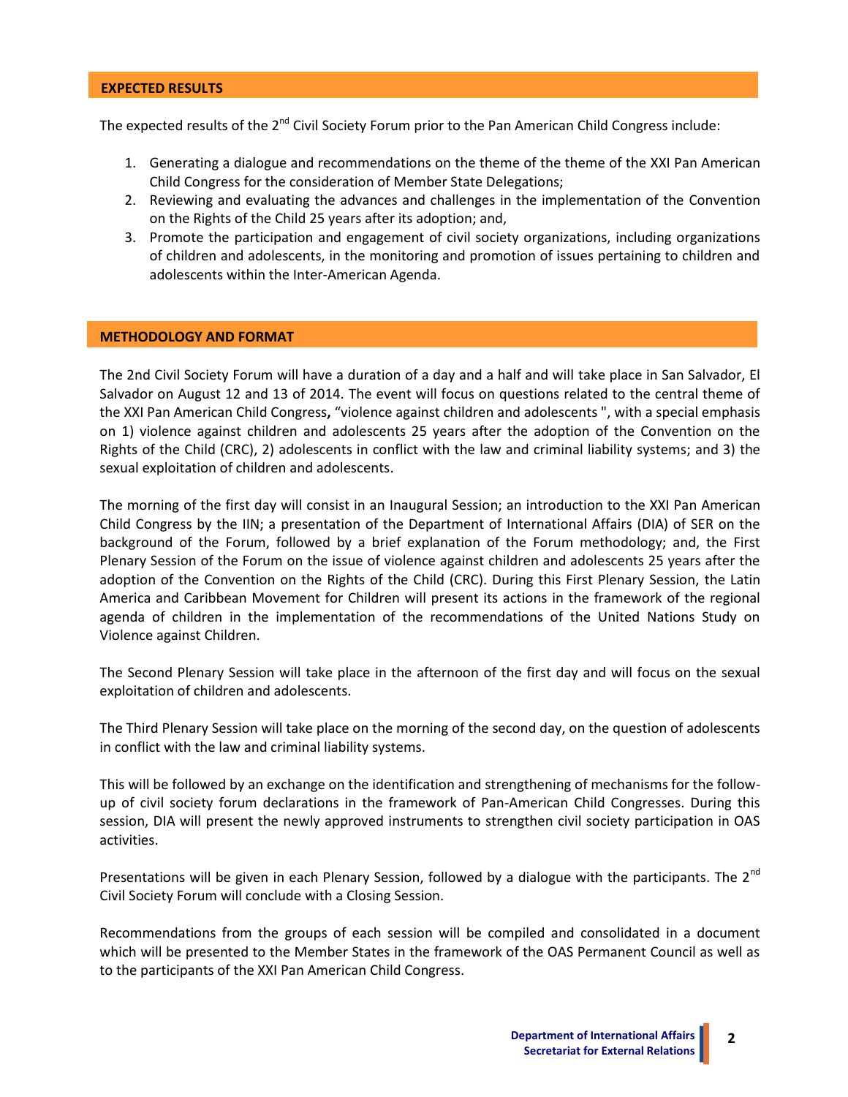#### **EXPECTED RESULTS**

The expected results of the 2<sup>nd</sup> Civil Society Forum prior to the Pan American Child Congress include:

- 1. Generating a dialogue and recommendations on the theme of the theme of the XXI Pan American Child Congress for the consideration of Member State Delegations;
- 2. Reviewing and evaluating the advances and challenges in the implementation of the Convention on the Rights of the Child 25 years after its adoption; and,
- 3. Promote the participation and engagement of civil society organizations, including organizations of children and adolescents, in the monitoring and promotion of issues pertaining to children and adolescents within the Inter-American Agenda.

#### **METHODOLOGY AND FORMAT**

The 2nd Civil Society Forum will have a duration of a day and a half and will take place in San Salvador, El Salvador on August 12 and 13 of 2014. The event will focus on questions related to the central theme of the XXI Pan American Child Congress**,** "violence against children and adolescents ", with a special emphasis on 1) violence against children and adolescents 25 years after the adoption of the Convention on the Rights of the Child (CRC), 2) adolescents in conflict with the law and criminal liability systems; and 3) the sexual exploitation of children and adolescents.

The morning of the first day will consist in an Inaugural Session; an introduction to the XXI Pan American Child Congress by the IIN; a presentation of the Department of International Affairs (DIA) of SER on the background of the Forum, followed by a brief explanation of the Forum methodology; and, the First Plenary Session of the Forum on the issue of violence against children and adolescents 25 years after the adoption of the Convention on the Rights of the Child (CRC). During this First Plenary Session, the Latin America and Caribbean Movement for Children will present its actions in the framework of the regional agenda of children in the implementation of the recommendations of the United Nations Study on Violence against Children.

The Second Plenary Session will take place in the afternoon of the first day and will focus on the sexual exploitation of children and adolescents.

The Third Plenary Session will take place on the morning of the second day, on the question of adolescents in conflict with the law and criminal liability systems.

This will be followed by an exchange on the identification and strengthening of mechanisms for the followup of civil society forum declarations in the framework of Pan-American Child Congresses. During this session, DIA will present the newly approved instruments to strengthen civil society participation in OAS activities.

Presentations will be given in each Plenary Session, followed by a dialogue with the participants. The  $2^{nd}$ Civil Society Forum will conclude with a Closing Session.

Recommendations from the groups of each session will be compiled and consolidated in a document which will be presented to the Member States in the framework of the OAS Permanent Council as well as to the participants of the XXI Pan American Child Congress.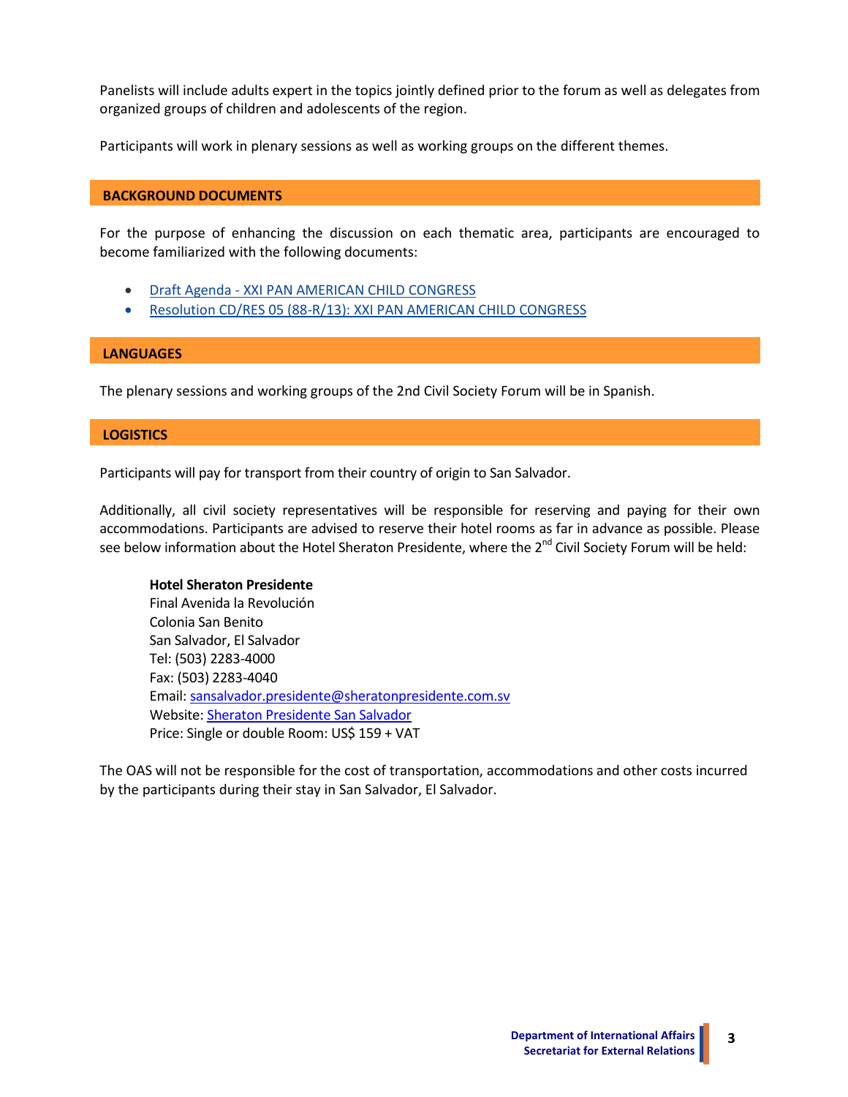Panelists will include adults expert in the topics jointly defined prior to the forum as well as delegates from organized groups of children and adolescents of the region.

Participants will work in plenary sessions as well as working groups on the different themes.

## **BACKGROUND DOCUMENTS**

For the purpose of enhancing the discussion on each thematic area, participants are encouraged to become familiarized with the following documents:

- Draft Agenda [XXI PAN AMERICAN CHILD CONGRESS](http://www.oas.org/en/ser/dia/civil_society/Forum%20Child%20Congress/Draft_AGENDA_XXI_CONGRESS.pdf)
- [Resolution CD/RES 05 \(88-R/13\): XXI PAN AMERICAN](http://www.oas.org/en/ser/dia/civil_society/Forum%20Child%20Congress/CP32547ERES05.pdf) CHILD CONGRESS

## **LANGUAGES**

The plenary sessions and working groups of the 2nd Civil Society Forum will be in Spanish.

## **LOGISTICS**

Participants will pay for transport from their country of origin to San Salvador.

Additionally, all civil society representatives will be responsible for reserving and paying for their own accommodations. Participants are advised to reserve their hotel rooms as far in advance as possible. Please see below information about the Hotel Sheraton Presidente, where the 2<sup>nd</sup> Civil Society Forum will be held:

## **Hotel Sheraton Presidente**

Final Avenida la Revolución Colonia San Benito San Salvador, El Salvador Tel: (503) 2283-4000 Fax: (503) 2283-4040 Email: [sansalvador.presidente@sheratonpresidente.com.sv](mailto:sansalvador.presidente@sheratonpresidente.com.sv) Website[: Sheraton Presidente San Salvador](http://www.starwoodhotels.com/sheraton/property/overview/index.html?language=en_US&propertyID=159) Price: Single or double Room: US\$ 159 + VAT

The OAS will not be responsible for the cost of transportation, accommodations and other costs incurred by the participants during their stay in San Salvador, El Salvador.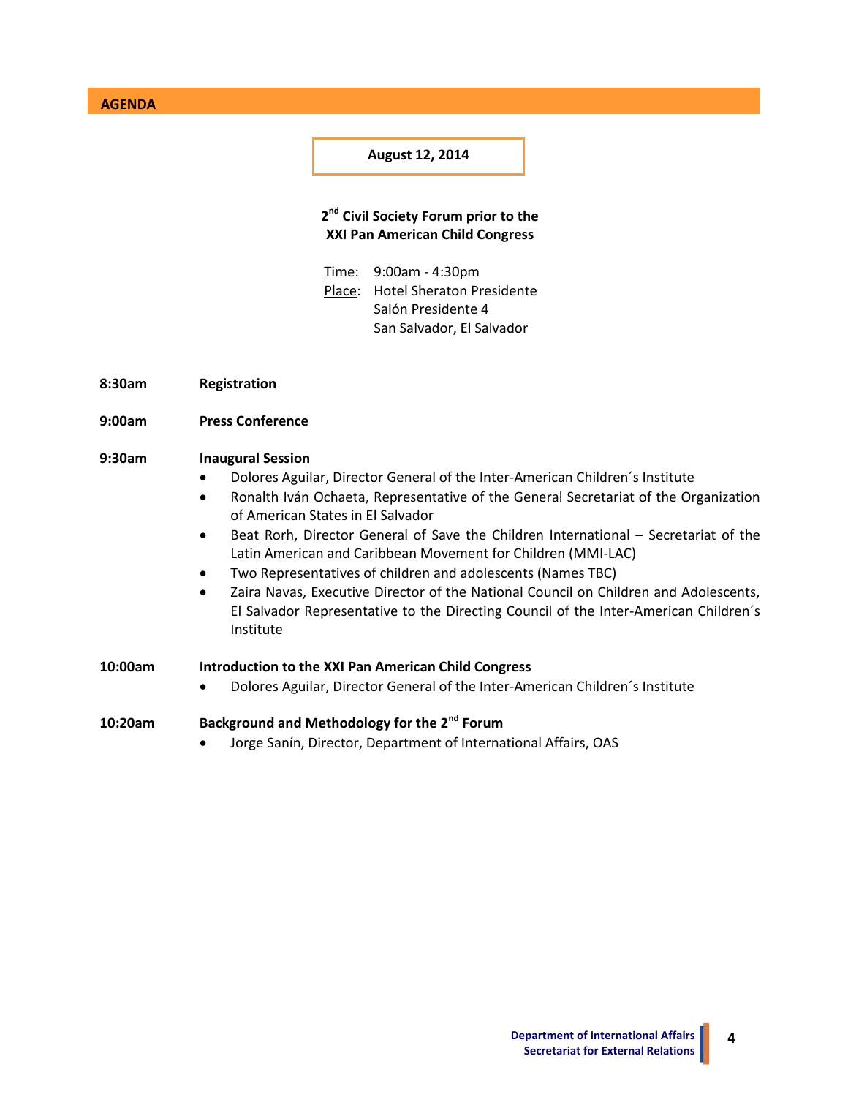**AGENDA**

**August 12, 2014**

# **2 nd Civil Society Forum prior to the XXI Pan American Child Congress**

- Time: 9:00am 4:30pm Place: Hotel Sheraton Presidente Salón Presidente 4 San Salvador, El Salvador
- **8:30am Registration**
- **9:00am Press Conference**

## **9:30am Inaugural Session**

- Dolores Aguilar, Director General of the Inter-American Children´s Institute
- Ronalth Iván Ochaeta, Representative of the General Secretariat of the Organization of American States in El Salvador
- Beat Rorh, Director General of Save the Children International Secretariat of the Latin American and Caribbean Movement for Children (MMI-LAC)
- Two Representatives of children and adolescents (Names TBC)
- Zaira Navas, Executive Director of the National Council on Children and Adolescents, El Salvador Representative to the Directing Council of the Inter-American Children´s Institute

| 10:00am | Introduction to the XXI Pan American Child Congress        |
|---------|------------------------------------------------------------|
|         | <b>Delete A. H. Dissolution</b> Constantinople A. S. P. C. |

Dolores Aguilar, Director General of the Inter-American Children´s Institute

# **10:20am Background and Methodology for the 2nd Forum**

Jorge Sanín, Director, Department of International Affairs, OAS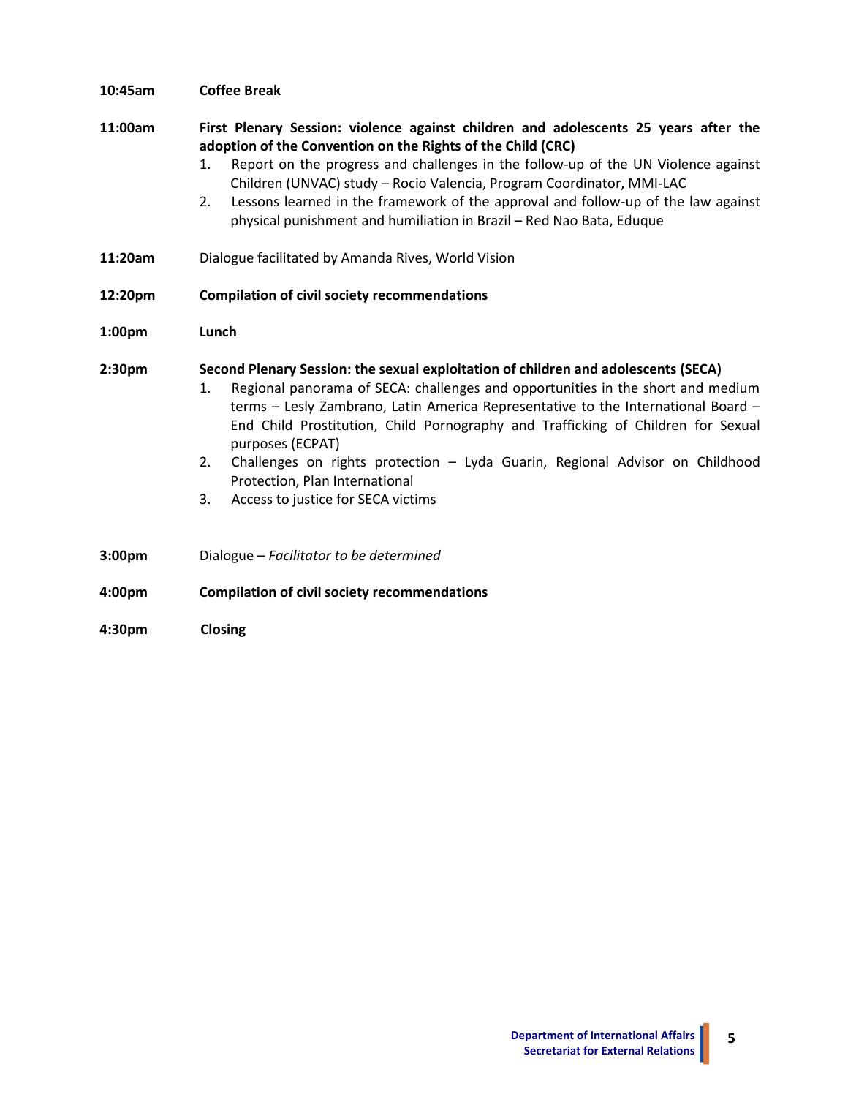| 10:45am            | <b>Coffee Break</b>                                                                                                                                                                                                                                                                                                                                                                                                                                                                                                                          |
|--------------------|----------------------------------------------------------------------------------------------------------------------------------------------------------------------------------------------------------------------------------------------------------------------------------------------------------------------------------------------------------------------------------------------------------------------------------------------------------------------------------------------------------------------------------------------|
| 11:00am            | First Plenary Session: violence against children and adolescents 25 years after the<br>adoption of the Convention on the Rights of the Child (CRC)<br>Report on the progress and challenges in the follow-up of the UN Violence against<br>1.<br>Children (UNVAC) study - Rocio Valencia, Program Coordinator, MMI-LAC<br>Lessons learned in the framework of the approval and follow-up of the law against<br>2.<br>physical punishment and humiliation in Brazil - Red Nao Bata, Eduque                                                    |
| 11:20am            | Dialogue facilitated by Amanda Rives, World Vision                                                                                                                                                                                                                                                                                                                                                                                                                                                                                           |
| 12:20pm            | <b>Compilation of civil society recommendations</b>                                                                                                                                                                                                                                                                                                                                                                                                                                                                                          |
| 1:00 <sub>pm</sub> | Lunch                                                                                                                                                                                                                                                                                                                                                                                                                                                                                                                                        |
| 2:30 <sub>pm</sub> | Second Plenary Session: the sexual exploitation of children and adolescents (SECA)<br>Regional panorama of SECA: challenges and opportunities in the short and medium<br>1.<br>terms - Lesly Zambrano, Latin America Representative to the International Board -<br>End Child Prostitution, Child Pornography and Trafficking of Children for Sexual<br>purposes (ECPAT)<br>Challenges on rights protection - Lyda Guarin, Regional Advisor on Childhood<br>2.<br>Protection, Plan International<br>3.<br>Access to justice for SECA victims |
| 3:00 <sub>pm</sub> | Dialogue - Facilitator to be determined                                                                                                                                                                                                                                                                                                                                                                                                                                                                                                      |
| 4:00 <sub>pm</sub> | <b>Compilation of civil society recommendations</b>                                                                                                                                                                                                                                                                                                                                                                                                                                                                                          |

**4:30pm Closing**